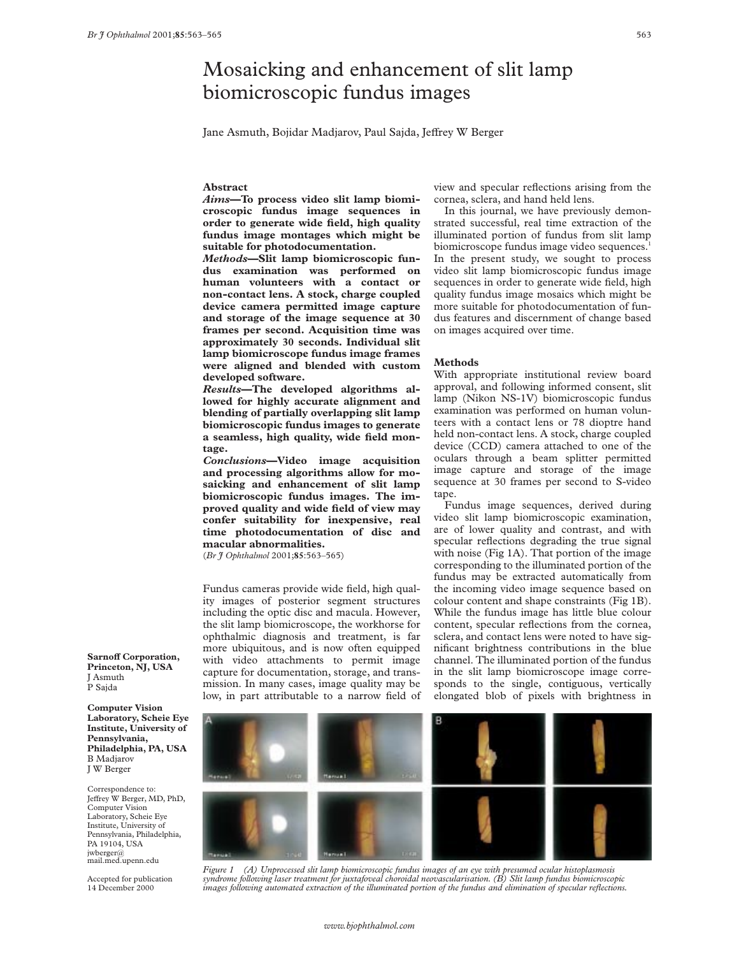# Mosaicking and enhancement of slit lamp biomicroscopic fundus images

Jane Asmuth, Bojidar Madjarov, Paul Sajda, Jeffrey W Berger

# **Abstract**

*Aims***—To process video slit lamp biomicroscopic fundus image sequences in order to generate wide field, high quality fundus image montages which might be suitable for photodocumentation.**

*Methods***—Slit lamp biomicroscopic fundus examination was performed on human volunteers with a contact or non-contact lens. A stock, charge coupled device camera permitted image capture and storage of the image sequence at 30 frames per second. Acquisition time was approximately 30 seconds. Individual slit lamp biomicroscope fundus image frames were aligned and blended with custom developed software.**

*Results***—The developed algorithms allowed for highly accurate alignment and blending of partially overlapping slit lamp biomicroscopic fundus images to generate a seamless, high quality, wide field montage.**

*Conclusions***—Video image acquisition and processing algorithms allow for mosaicking and enhancement of slit lamp biomicroscopic fundus images. The improved quality and wide field of view may confer suitability for inexpensive, real time photodocumentation of disc and macular abnormalities.**

(*Br J Ophthalmol* 2001;**85**:563–565)

Fundus cameras provide wide field, high quality images of posterior segment structures including the optic disc and macula. However, the slit lamp biomicroscope, the workhorse for ophthalmic diagnosis and treatment, is far more ubiquitous, and is now often equipped with video attachments to permit image capture for documentation, storage, and transmission. In many cases, image quality may be low, in part attributable to a narrow field of view and specular reflections arising from the cornea, sclera, and hand held lens.

In this journal, we have previously demonstrated successful, real time extraction of the illuminated portion of fundus from slit lamp biomicroscope fundus image video sequences.<sup>1</sup> In the present study, we sought to process video slit lamp biomicroscopic fundus image sequences in order to generate wide field, high quality fundus image mosaics which might be more suitable for photodocumentation of fundus features and discernment of change based on images acquired over time.

## **Methods**

With appropriate institutional review board approval, and following informed consent, slit lamp (Nikon NS-1V) biomicroscopic fundus examination was performed on human volunteers with a contact lens or 78 dioptre hand held non-contact lens. A stock, charge coupled device (CCD) camera attached to one of the oculars through a beam splitter permitted image capture and storage of the image sequence at 30 frames per second to S-video tape.

Fundus image sequences, derived during video slit lamp biomicroscopic examination, are of lower quality and contrast, and with specular reflections degrading the true signal with noise (Fig 1A). That portion of the image corresponding to the illuminated portion of the fundus may be extracted automatically from the incoming video image sequence based on colour content and shape constraints (Fig 1B). While the fundus image has little blue colour content, specular reflections from the cornea, sclera, and contact lens were noted to have significant brightness contributions in the blue channel. The illuminated portion of the fundus in the slit lamp biomicroscope image corresponds to the single, contiguous, vertically elongated blob of pixels with brightness in

**Princeton, NJ, USA** J Asmuth P Sajda

**Sarnoff Corporation,** 

**Computer Vision Laboratory, Scheie Eye Institute, University of Pennsylvania, Philadelphia, PA, USA** B Madjarov J W Berger

Correspondence to: Jeffrey W Berger, MD, PhD, Computer Vision Laboratory, Scheie Eye Institute, University of Pennsylvania, Philadelphia, PA 19104, USA jwberger@ mail.med.upenn.edu

Accepted for publication 14 December 2000



*Figure 1 (A) Unprocessed slit lamp biomicroscopic fundus images of an eye with presumed ocular histoplasmosis syndrome following laser treatment for juxtafoveal choroidal neovascularisation. (B) Slit lamp fundus biomicroscopic images following automated extraction of the illuminated portion of the fundus and elimination of specular reflections.*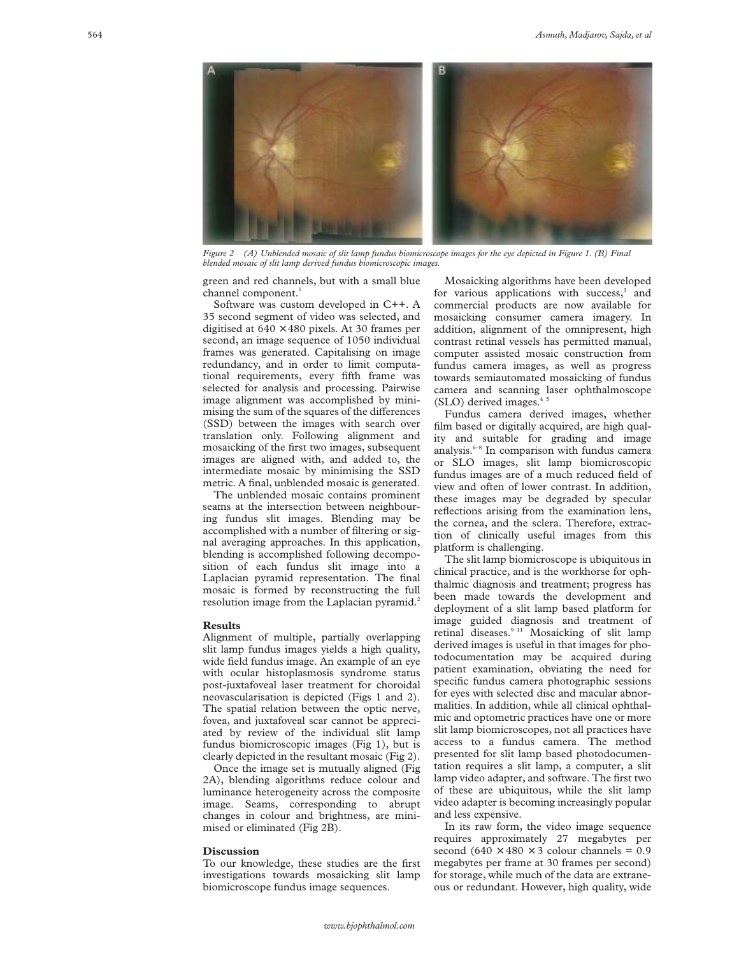

*Figure 2 (A) Unblended mosaic of slit lamp fundus biomicroscope images for the eye depicted in Figure 1. (B) Final blended mosaic of slit lamp derived fundus biomicroscopic images.*

green and red channels, but with a small blue channel component.<sup>1</sup>

Software was custom developed in C++. A 35 second segment of video was selected, and digitised at  $640 \times 480$  pixels. At 30 frames per second, an image sequence of 1050 individual frames was generated. Capitalising on image redundancy, and in order to limit computational requirements, every fifth frame was selected for analysis and processing. Pairwise image alignment was accomplished by minimising the sum of the squares of the differences (SSD) between the images with search over translation only. Following alignment and mosaicking of the first two images, subsequent images are aligned with, and added to, the intermediate mosaic by minimising the SSD metric. A final, unblended mosaic is generated.

The unblended mosaic contains prominent seams at the intersection between neighbouring fundus slit images. Blending may be accomplished with a number of filtering or signal averaging approaches. In this application, blending is accomplished following decomposition of each fundus slit image into a Laplacian pyramid representation. The final mosaic is formed by reconstructing the full resolution image from the Laplacian pyramid.<sup>2</sup>

#### **Results**

Alignment of multiple, partially overlapping slit lamp fundus images yields a high quality, wide field fundus image. An example of an eye with ocular histoplasmosis syndrome status post-juxtafoveal laser treatment for choroidal neovascularisation is depicted (Figs 1 and 2). The spatial relation between the optic nerve, fovea, and juxtafoveal scar cannot be appreciated by review of the individual slit lamp fundus biomicroscopic images (Fig 1), but is clearly depicted in the resultant mosaic (Fig 2).

Once the image set is mutually aligned (Fig 2A), blending algorithms reduce colour and luminance heterogeneity across the composite image. Seams, corresponding to abrupt changes in colour and brightness, are minimised or eliminated (Fig 2B).

## **Discussion**

To our knowledge, these studies are the first investigations towards mosaicking slit lamp biomicroscope fundus image sequences.

Mosaicking algorithms have been developed for various applications with success,<sup>3</sup> and commercial products are now available for mosaicking consumer camera imagery. In addition, alignment of the omnipresent, high contrast retinal vessels has permitted manual, computer assisted mosaic construction from fundus camera images, as well as progress towards semiautomated mosaicking of fundus camera and scanning laser ophthalmoscope  $(SLO)$  derived images.<sup>4</sup>

Fundus camera derived images, whether film based or digitally acquired, are high quality and suitable for grading and image analysis.6–8 In comparison with fundus camera or SLO images, slit lamp biomicroscopic fundus images are of a much reduced field of view and often of lower contrast. In addition, these images may be degraded by specular reflections arising from the examination lens, the cornea, and the sclera. Therefore, extraction of clinically useful images from this platform is challenging.

The slit lamp biomicroscope is ubiquitous in clinical practice, and is the workhorse for ophthalmic diagnosis and treatment; progress has been made towards the development and deployment of a slit lamp based platform for image guided diagnosis and treatment of retinal diseases.<sup>9-11</sup> Mosaicking of slit lamp derived images is useful in that images for photodocumentation may be acquired during patient examination, obviating the need for specific fundus camera photographic sessions for eyes with selected disc and macular abnormalities. In addition, while all clinical ophthalmic and optometric practices have one or more slit lamp biomicroscopes, not all practices have access to a fundus camera. The method presented for slit lamp based photodocumentation requires a slit lamp, a computer, a slit lamp video adapter, and software. The first two of these are ubiquitous, while the slit lamp video adapter is becoming increasingly popular and less expensive.

In its raw form, the video image sequence requires approximately 27 megabytes per second  $(640 \times 480 \times 3$  colour channels = 0.9 megabytes per frame at 30 frames per second) for storage, while much of the data are extraneous or redundant. However, high quality, wide